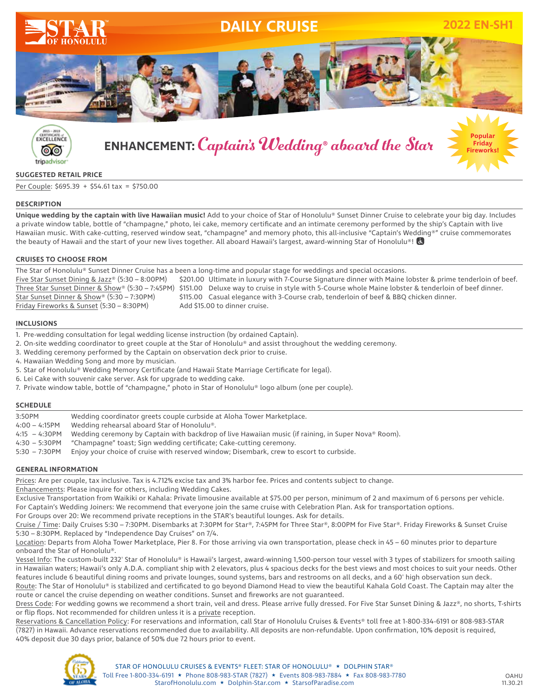



# **ENHANCEMENT:** Captain' s Wedding® aboard the Star



#### **SUGGESTED RETAIL PRICE**

Per Couple: \$695.39 + \$54.61 tax = \$750.00

#### **DESCRIPTION**

Unique wedding by the captain with live Hawaiian music! Add to your choice of Star of Honolulu® Sunset Dinner Cruise to celebrate your big day. Includes a private window table, bottle of "champagne," photo, lei cake, memory certificate and an intimate ceremony performed by the ship's Captain with live Hawaiian music. With cake-cutting, reserved window seat, "champagne" and memory photo, this all-inclusive "Captain's Wedding®" cruise commemorates the beauty of Hawaii and the start of your new lives together. All aboard Hawaii's largest, award-winning Star of Honolulu®!

#### **CRUISES TO CHOOSE FROM**

The Star of Honolulu® Sunset Dinner Cruise has a been a long-time and popular stage for weddings and special occasions. Five Star Sunset Dining & Jazz® (5:30 – 8:00PM) \$201.00 Ultimate in luxury with 7-Course Signature dinner with Maine lobster & prime tenderloin of beef. Three Star Sunset Dinner & Show® (5:30 – 7:45PM) \$151.00 Deluxe way to cruise in style with 5-Course whole Maine lobster & tenderloin of beef dinner. Star Sunset Dinner & Show® (5:30 – 7:30PM) \$115.00 Casual elegance with 3-Course crab, tenderloin of beef & BBQ chicken dinner. Friday Fireworks & Sunset (5:30 – 8:30PM) Add \$15.00 to dinner cruise.

#### **INCLUSIONS**

- 1. Pre-wedding consultation for legal wedding license instruction (by ordained Captain).
- 2. On-site wedding coordinator to greet couple at the Star of Honolulu® and assist throughout the wedding ceremony.
- 3. Wedding ceremony performed by the Captain on observation deck prior to cruise.
- 4. Hawaiian Wedding Song and more by musician.
- 5. Star of Honolulu® Wedding Memory Certificate (and Hawaii State Marriage Certificate for legal).
- 6. Lei Cake with souvenir cake server. Ask for upgrade to wedding cake.
- 7. Private window table, bottle of "champagne," photo in Star of Honolulu® logo album (one per couple).

#### **SCHEDULE**

| 3:50PM           | Wedding coordinator greets couple curbside at Aloha Tower Marketplace.                              |
|------------------|-----------------------------------------------------------------------------------------------------|
| $4:00 - 4:15$ PM | Wedding rehearsal aboard Star of Honolulu®.                                                         |
| 4:15 - 4:30PM    | Wedding ceremony by Captain with backdrop of live Hawaiian music (if raining, in Super Nova® Room). |
| 4:30 - 5:30PM    | "Champagne" toast; Sign wedding certificate; Cake-cutting ceremony.                                 |
| 5:30 - 7:30PM    | Enjoy your choice of cruise with reserved window; Disembark, crew to escort to curbside.            |
|                  |                                                                                                     |

#### **GENERAL INFORMATION**

Prices: Are per couple, tax inclusive. Tax is 4.712% excise tax and 3% harbor fee. Prices and contents subject to change.

Enhancements: Please inquire for others, including Wedding Cakes.

Exclusive Transportation from Waikiki or Kahala: Private limousine available at \$75.00 per person, minimum of 2 and maximum of 6 persons per vehicle. For Captain's Wedding Joiners: We recommend that everyone join the same cruise with Celebration Plan. Ask for transportation options.

For Groups over 20: We recommend private receptions in the STAR's beautiful lounges. Ask for details.

Cruise / Time: Daily Cruises 5:30 – 7:30PM. Disembarks at 7:30PM for Star®, 7:45PM for Three Star®, 8:00PM for Five Star®. Friday Fireworks & Sunset Cruise 5:30 – 8:30PM. Replaced by "Independence Day Cruises" on 7/4.

Location: Departs from Aloha Tower Marketplace, Pier 8. For those arriving via own transportation, please check in 45 – 60 minutes prior to departure onboard the Star of Honolulu®.

Vessel Info: The custom-built 232' Star of Honolulu® is Hawaii's largest, award-winning 1,500-person tour vessel with 3 types of stabilizers for smooth sailing in Hawaiian waters; Hawaii's only A.D.A. compliant ship with 2 elevators, plus 4 spacious decks for the best views and most choices to suit your needs. Other features include 6 beautiful dining rooms and private lounges, sound systems, bars and restrooms on all decks, and a 60' high observation sun deck. Route: The Star of Honolulu® is stabilized and certificated to go beyond Diamond Head to view the beautiful Kahala Gold Coast. The Captain may alter the route or cancel the cruise depending on weather conditions. Sunset and fireworks are not guaranteed.

Dress Code: For wedding gowns we recommend a short train, veil and dress. Please arrive fully dressed. For Five Star Sunset Dining & Jazz®, no shorts, T-shirts or flip flops. Not recommended for children unless it is a private reception.

Reservations & Cancellation Policy: For reservations and information, call Star of Honolulu Cruises & Events® toll free at 1-800-334-6191 or 808-983-STAR (7827) in Hawaii. Advance reservations recommended due to availability. All deposits are non-refundable. Upon confirmation, 10% deposit is required, 40% deposit due 30 days prior, balance of 50% due 72 hours prior to event.